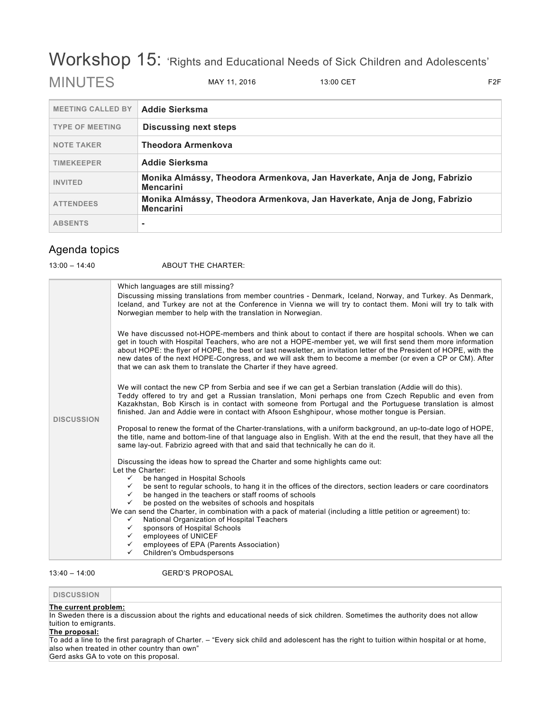# Workshop 15: 'Rights and Educational Needs of Sick Children and Adolescents' MINUTES MAY 11, 2016 13:00 CET F2F

| <b>MEETING CALLED BY</b> | <b>Addie Sierksma</b>                                                                         |  |
|--------------------------|-----------------------------------------------------------------------------------------------|--|
| <b>TYPE OF MEETING</b>   | <b>Discussing next steps</b>                                                                  |  |
| <b>NOTE TAKER</b>        | Theodora Armenkova                                                                            |  |
| <b>TIMEKEEPER</b>        | <b>Addie Sierksma</b>                                                                         |  |
| <b>INVITED</b>           | Monika Almássy, Theodora Armenkova, Jan Haverkate, Anja de Jong, Fabrizio<br><b>Mencarini</b> |  |
| <b>ATTENDEES</b>         | Monika Almássy, Theodora Armenkova, Jan Haverkate, Anja de Jong, Fabrizio<br><b>Mencarini</b> |  |
| <b>ABSENTS</b>           | ۰                                                                                             |  |

## Agenda topics

13:00 – 14:40 ABOUT THE CHARTER:

| <b>DISCUSSION</b> | Which languages are still missing?<br>Discussing missing translations from member countries - Denmark, Iceland, Norway, and Turkey. As Denmark,<br>Iceland, and Turkey are not at the Conference in Vienna we will try to contact them. Moni will try to talk with<br>Norwegian member to help with the translation in Norwegian.                                                                                                                                                                                                 |
|-------------------|-----------------------------------------------------------------------------------------------------------------------------------------------------------------------------------------------------------------------------------------------------------------------------------------------------------------------------------------------------------------------------------------------------------------------------------------------------------------------------------------------------------------------------------|
|                   | We have discussed not-HOPE-members and think about to contact if there are hospital schools. When we can<br>get in touch with Hospital Teachers, who are not a HOPE-member yet, we will first send them more information<br>about HOPE: the flyer of HOPE, the best or last newsletter, an invitation letter of the President of HOPE, with the<br>new dates of the next HOPE-Congress, and we will ask them to become a member (or even a CP or CM). After<br>that we can ask them to translate the Charter if they have agreed. |
|                   | We will contact the new CP from Serbia and see if we can get a Serbian translation (Addie will do this).<br>Teddy offered to try and get a Russian translation, Moni perhaps one from Czech Republic and even from<br>Kazakhstan, Bob Kirsch is in contact with someone from Portugal and the Portuguese translation is almost<br>finished. Jan and Addie were in contact with Afsoon Eshghipour, whose mother tongue is Persian.                                                                                                 |
|                   | Proposal to renew the format of the Charter-translations, with a uniform background, an up-to-date logo of HOPE,<br>the title, name and bottom-line of that language also in English. With at the end the result, that they have all the<br>same lay-out. Fabrizio agreed with that and said that technically he can do it.                                                                                                                                                                                                       |
|                   | Discussing the ideas how to spread the Charter and some highlights came out:<br>Let the Charter:                                                                                                                                                                                                                                                                                                                                                                                                                                  |
|                   | be hanged in Hospital Schools<br>$\checkmark$<br>be sent to regular schools, to hang it in the offices of the directors, section leaders or care coordinators<br>$\checkmark$                                                                                                                                                                                                                                                                                                                                                     |
|                   | be hanged in the teachers or staff rooms of schools<br>$\checkmark$<br>be posted on the websites of schools and hospitals<br>$\checkmark$                                                                                                                                                                                                                                                                                                                                                                                         |
|                   | We can send the Charter, in combination with a pack of material (including a little petition or agreement) to:                                                                                                                                                                                                                                                                                                                                                                                                                    |
|                   | National Organization of Hospital Teachers<br>$\checkmark$<br>sponsors of Hospital Schools<br>$\checkmark$                                                                                                                                                                                                                                                                                                                                                                                                                        |
|                   | employees of UNICEF<br>$\checkmark$<br>employees of EPA (Parents Association)<br>$\checkmark$                                                                                                                                                                                                                                                                                                                                                                                                                                     |
|                   | <b>Children's Ombudspersons</b><br>$\checkmark$                                                                                                                                                                                                                                                                                                                                                                                                                                                                                   |

13:40 – 14:00 GERD'S PROPOSAL

## **DISCUSSION**

#### **The current problem:**

In Sweden there is a discussion about the rights and educational needs of sick children. Sometimes the authority does not allow tuition to emigrants.

### **The proposal:**

To add a line to the first paragraph of Charter. – "Every sick child and adolescent has the right to tuition within hospital or at home, also when treated in other country than own"

Gerd asks GA to vote on this proposal.